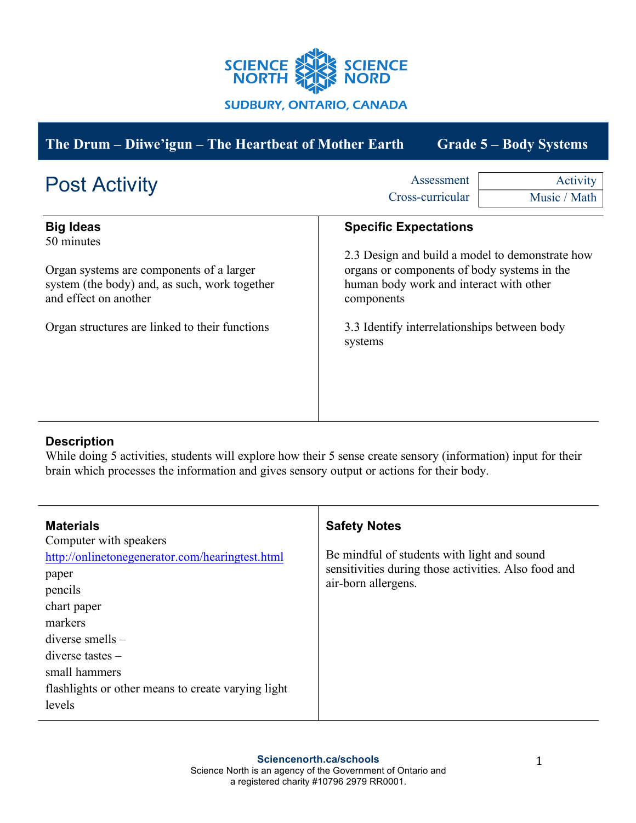

| The Drum – Diiwe'igun – The Heartbeat of Mother Earth<br><b>Grade 5 – Body Systems</b>                                                                                                                 |                                                                                                                                                                                                                                                    |                          |
|--------------------------------------------------------------------------------------------------------------------------------------------------------------------------------------------------------|----------------------------------------------------------------------------------------------------------------------------------------------------------------------------------------------------------------------------------------------------|--------------------------|
| <b>Post Activity</b>                                                                                                                                                                                   | Assessment<br>Cross-curricular                                                                                                                                                                                                                     | Activity<br>Music / Math |
| <b>Big Ideas</b><br>50 minutes<br>Organ systems are components of a larger<br>system (the body) and, as such, work together<br>and effect on another<br>Organ structures are linked to their functions | <b>Specific Expectations</b><br>2.3 Design and build a model to demonstrate how<br>organs or components of body systems in the<br>human body work and interact with other<br>components<br>3.3 Identify interrelationships between body<br>systems |                          |

# **Description**

While doing 5 activities, students will explore how their 5 sense create sensory (information) input for their brain which processes the information and gives sensory output or actions for their body.

| <b>Materials</b><br>Computer with speakers<br>http://onlinetonegenerator.com/hearingtest.html<br>paper<br>pencils<br>chart paper<br>markers | <b>Safety Notes</b><br>Be mindful of students with light and sound<br>sensitivities during those activities. Also food and<br>air-born allergens. |
|---------------------------------------------------------------------------------------------------------------------------------------------|---------------------------------------------------------------------------------------------------------------------------------------------------|
| $diverse$ smells $-$<br>$diverse$ tastes $-$<br>small hammers<br>flashlights or other means to create varying light<br>levels               |                                                                                                                                                   |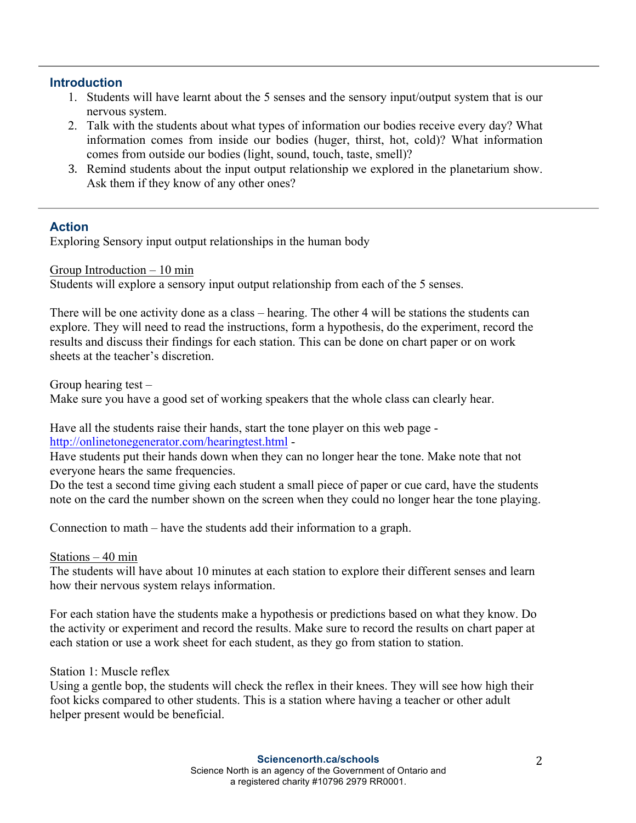#### **Introduction**

- 1. Students will have learnt about the 5 senses and the sensory input/output system that is our nervous system.
- 2. Talk with the students about what types of information our bodies receive every day? What information comes from inside our bodies (huger, thirst, hot, cold)? What information comes from outside our bodies (light, sound, touch, taste, smell)?
- 3. Remind students about the input output relationship we explored in the planetarium show. Ask them if they know of any other ones?

## **Action**

Exploring Sensory input output relationships in the human body

Group Introduction – 10 min

Students will explore a sensory input output relationship from each of the 5 senses.

There will be one activity done as a class – hearing. The other 4 will be stations the students can explore. They will need to read the instructions, form a hypothesis, do the experiment, record the results and discuss their findings for each station. This can be done on chart paper or on work sheets at the teacher's discretion.

Group hearing test – Make sure you have a good set of working speakers that the whole class can clearly hear.

Have all the students raise their hands, start the tone player on this web page http://onlinetonegenerator.com/hearingtest.html -

Have students put their hands down when they can no longer hear the tone. Make note that not everyone hears the same frequencies.

Do the test a second time giving each student a small piece of paper or cue card, have the students note on the card the number shown on the screen when they could no longer hear the tone playing.

Connection to math – have the students add their information to a graph.

#### Stations – 40 min

The students will have about 10 minutes at each station to explore their different senses and learn how their nervous system relays information.

For each station have the students make a hypothesis or predictions based on what they know. Do the activity or experiment and record the results. Make sure to record the results on chart paper at each station or use a work sheet for each student, as they go from station to station.

#### Station 1: Muscle reflex

Using a gentle bop, the students will check the reflex in their knees. They will see how high their foot kicks compared to other students. This is a station where having a teacher or other adult helper present would be beneficial.